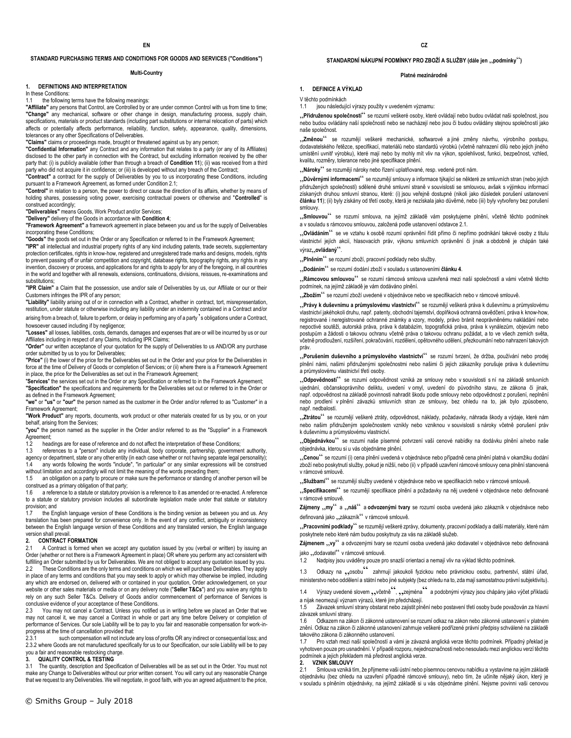### **STANDARD PURCHASING TERMS AND CONDITIONS FOR GOODS AND SERVICES ("Conditions")**

#### **Multi-Country**

### **1. DEFINITIONS AND INTERPRETATION**

In these Conditions:

1.1 the following terms have the following meanings

**"Affiliate"** any persons that Control, are Controlled by or are under common Control with us from time to time; **"Change"** any mechanical, software or other change in design, manufacturing process, supply chain, specifications, materials or product standards (including part substitutions or internal relocation of parts) which affects or potentially affects performance, reliability, function, safety, appearance, quality, dimensions, tolerances or any other Specifications of Deliverables.

**"Claims"** claims or proceedings made, brought or threatened against us by any person;

**"Confidential Information"** any Contract and any information that relates to a party (or any of its Affiliates) disclosed to the other party in connection with the Contract, but excluding information received by the other party that: (i) is publicly available (other than through a breach of **Condition 11**); (ii) was received from a third party who did not acquire it in confidence; or (iii) is developed without any breach of the Contract;

**"Contract"** a contract for the supply of Deliverables by you to us incorporating these Conditions, including pursuant to a Framework Agreement, as formed under Condition 2.1;

**"Control"** in relation to a person, the power to direct or cause the direction of its affairs, whether by means of holding shares, possessing voting power, exercising contractual powers or otherwise and "**Controlled**" is construed accordingly;

**"Deliverables"** means Goods, Work Product and/or Services;

**"Delivery"** delivery of the Goods in accordance with **Condition 4**;

**"Framework Agreement"** a framework agreement in place between you and us for the supply of Deliverables incorporating these Conditions;

**"Goods"** the goods set out in the Order or any Specification or referred to in the Framework Agreement;

**"IPR"** all intellectual and industrial property rights of any kind including patents, trade secrets, supplementary protection certificates, rights in know-how, registered and unregistered trade marks and designs, models, rights to prevent passing off or unfair competition and copyright, database rights, topography rights, any rights in any invention, discovery or process, and applications for and rights to apply for any of the foregoing, in all countries in the world and together with all renewals, extensions, continuations, divisions, reissues, re-examinations and substitutions;

**"IPR Claim"** a Claim that the possession, use and/or sale of Deliverables by us, our Affiliate or our or their Customers infringes the IPR of any person;

**"Liability"** liability arising out of or in connection with a Contract, whether in contract, tort, misrepresentation, restitution, under statute or otherwise including any liability under an indemnity contained in a Contract and/or

arising from a breach of, failure to perform, or delay in performing any of a party's obligations under a Contract, howsoever caused including if by negligence:

**"Losses"** all losses, liabilities, costs, demands, damages and expenses that are or will be incurred by us or our Affiliates including in respect of any Claims, including IPR Claims;

**"Order"** our written acceptance of your quotation for the supply of Deliverables to us AND/OR any purchase order submitted by us to you for Deliverables;

**"Price"** (i) the lower of the price for the Deliverables set out in the Order and your price for the Deliverables in force at the time of Delivery of Goods or completion of Services; or (ii) where there is a Framework Agreement in place, the price for the Deliverables as set out in the Framework Agreement;

"**Services**" the services set out in the Order or any Specification or referred to in the Framework Agreement; **"Specification"** the specifications and requirements for the Deliverables set out or referred to in the Order or as defined in the Framework Agreement;

**"we"** or **"us"** or **"our"** the person named as the customer in the Order and/or referred to as "Customer" in a Framework Agreement;

**"Work Product"** any reports, documents, work product or other materials created for us by you, or on your behalf, arising from the Services;

**"you"** the person named as the supplier in the Order and/or referred to as the "Supplier" in a Framework Agreement;

1.2 headings are for ease of reference and do not affect the interpretation of these Conditions;<br>1.3 references to a "person" include any individual body corporate partnership governme

references to a "person" include any individual, body corporate, partnership, government authority, agency or department, state or any other entity (in each case whether or not having separate legal personality);

any words following the words "include", "in particular" or any similar expressions will be construed without limitation and accordingly will not limit the meaning of the words preceding them;

1.5 an obligation on a party to procure or make sure the performance or standing of another person will be construed as a primary obligation of that party;

1.6 a reference to a statute or statutory provision is a reference to it as amended or re-enacted. A reference to a statute or statutory provision includes all subordinate legislation made under that statute or statutory provision; and<br>1.7 the Eng

the English language version of these Conditions is the binding version as between you and us. Any translation has been prepared for convenience only. In the event of any conflict, ambiguity or inconsistency between the English language version of these Conditions and any translated version, the English language version shall prevail.

### **2. CONTRACT FORMATION**

2.1 A Contract is formed when we accept any quotation issued by you (verbal or written) by issuing an Order (whether or not there is a Framework Agreement in place) OR where you perform any act consistent with fulfilling an Order submitted by us for Deliverables. We are not obliged to accept any quotation issued by you.<br>22 These Conditions are the only terms and conditions on which we will purchase Deliverables. They apply These Conditions are the only terms and conditions on which we will purchase Deliverables. They apply in place of any terms and conditions that you may seek to apply or which may otherwise be implied, including any which are endorsed on, delivered with or contained in your quotation, Order acknowledgement, on your website or other sales materials or media or on any delivery note ("**Seller T&Cs**") and you waive any rights to rely on any such Seller T&Cs. Delivery of Goods and/or commencement of performance of Services is conclusive evidence of your acceptance of these Conditions.

2.3 You may not cancel a Contract. Unless you notified us in writing before we placed an Order that we may not cancel it, we may cancel a Contract in whole or part any time before Delivery or completion of performance of Services. Our sole Liability will be to pay to you fair and reasonable compensation for work-inprogress at the time of cancellation provided that:<br>2.3.1 such compensation will not include

2.3.1 such compensation will not include any loss of profits OR any indirect or consequential loss; and 2.3.2 where Goods are not manufactured specifically for us to our Specification, our sole Liability will be to pay you a fair and reasonable restocking charge.

#### **3. QUALITY CONTROL & TESTING**

3.1 The quantity, description and Specification of Deliverables will be as set out in the Order. You must not make any Change to Deliverables without our prior written consent. You will carry out any reasonable Change that we request to any Deliverables. We will negotiate, in good faith, with you an agreed adjustment to the price,

#### **Platné mezinárodně**

**1. DEFINICE A VÝKLAD**

V těchto podmínkách

1.1 jsou následující výrazy použity v uvedeném významu:

"**Přidruženou společností**" se rozumí veškeré osoby, které ovládají nebo budou ovládat naši společnost, jsou nebo budou ovládány naší společností nebo se nacházejí nebo jsou či budou ovládány stejnou společností jako naše společnost.

"**Změnou**" se rozumějí veškeré mechanické, softwarové a jiné změny návrhu, výrobního postupu, dodavatelského řetězce, specifikací, materiálů nebo standardů výrobků (včetně nahrazení dílů nebo jejich jiného umístění uvnitř výrobku), které mají nebo by mohly mít vliv na výkon, spolehlivost, funkci, bezpečnost, vzhled, kvalitu, rozměry, tolerance nebo jiné specifikace plnění.

"**Nároky**" se rozumějí nároky nebo řízení uplatňované, resp. vedené proti nám.

"**Důvěrnými informacemi**" se rozumějí smlouvy a informace týkající se některé ze smluvních stran (nebo jejích přidružených společností) sdělené druhé smluvní straně v souvislosti se smlouvou, avšak s výjimkou informací získaných druhou smluvní stranou, které: (i) jsou veřejně dostupné (nikoli jako důsledek porušení ustanovení **článku 11**); (ii) byly získány od třetí osoby, která je nezískala jako důvěrné, nebo (iii) byly vytvořeny bez porušení smlouvy.

"**Smlouvou**" se rozumí smlouva, na jejímž základě vám poskytujeme plnění, včetně těchto podmínek a v souladu s rámcovou smlouvou, založená podle ustanovení odstavce 2.1.

"**Ovládáním**" se ve vztahu k osobě rozumí oprávnění řídit přímo či nepřímo podnikání takové osoby z titulu vlastnictví jejích akcií, hlasovacích práv, výkonu smluvních oprávnění či jinak a obdobně je chápán také výraz,, ovládaný".

..Plněním<sup>ec</sup> se rozumí zboží, pracovní podklady nebo služby.

"**Dodáním**" se rozumí dodání zboží v souladu s ustanoveními **článku 4**.

"**Rámcovou smlouvou**" se rozumí rámcová smlouva uzavřená mezi naší společností a vámi včetně těchto podmínek, na jejímž základě je vám dodáváno plnění.

"Zbožím" se rozumí zboží uvedené v objednávce nebo ve specifikacích nebo v rámcové smlouvě.

"**Právy k duševnímu a průmyslovému vlastnictví**" se rozumějí veškerá práva k duševnímu a průmyslovému vlastnictví jakéhokoli druhu, např. patenty, obchodní tajemství, doplňková ochranná osvědčení, práva k know-how, registrované i neregistrované ochranné známky a vzory, modely, právo bránit neoprávněnému nakládání nebo nepoctivé soutěži, autorská práva, práva k databázím, topografická práva, práva k vynálezům, objevům nebo postupům a žádosti o takovou ochranu včetně práva o takovou ochranu požádat, a to ve všech zemích světa, včetně prodloužení, rozšíření, pokračování, rozdělení, opětovného udělení, přezkoumání nebo nahrazení takových práv.

"**Porušením duševního a průmyslového vlastnictví**" se rozumí tvrzení, že držba, používání nebo prodej plnění námi, našimi přidruženými společnostmi nebo našimi či jejich zákazníky porušuje práva k duševnímu a průmyslovému vlastnictví třetí osoby.

"**Odpovědností**" se rozumí odpovědnost vzniká ze smlouvy nebo v souvislosti s ní na základě smluvních ujednání, občanskoprávního deliktu, uvedení v omyl, uvedení do původního stavu, ze zákona či jinak, např. odpovědnost na základě povinnosti nahradit škodu podle smlouvy nebo odpovědnost z porušení, neplnění nebo prodlení v plnění závazků smluvních stran ze smlouvy, bez ohledu na to, jak bylo způsobeno, např. nedbalostí.

"Ztrátou" se rozumějí veškeré ztráty, odpovědnost, náklady, požadavky, náhrada škody a výdaje, které nám nebo našim přidruženým společnostem vznikly nebo vzniknou v souvislosti s nároky včetně porušení práv k duševnímu a průmyslovému vlastnictví.

"**Objednávkou**" se rozumí naše písemné potvrzení vaší cenové nabídky na dodávku plnění a/nebo naše objednávka, kterou si u vás objednáme plnění.

"**Cenou**" se rozumí (i) cena plnění uvedená v objednávce nebo případně cena plnění platná v okamžiku dodání zboží nebo poskytnutí služby, pokud je nižší, nebo (ii) v případě uzavření rámcové smlouvy cena plnění stanovená v rámcové smlouvě.

"**Službami**" se rozumějí služby uvedené v objednávce nebo ve specifikacích nebo v rámcové smlouvě.

"**Specifikacemi**" se rozumějí specifikace plnění a požadavky na něj uvedené v objednávce nebo definované v rámcové smlouvě.

Zájmeny "my" a "náš" a odvozenými tvary se rozumí osoba uvedená jako zákazník v objednávce nebo definovaná jako "zákazník" v rámcové smlouvě.

"Pracovními podklady" se rozumějí veškeré zprávy, dokumenty, pracovní podklady a další materiály, které nám poskytnete nebo které nám budou poskytnuty za vás na základě služeb.

Zájmenem "vy" a odvozenými tvary se rozumí osoba uvedená jako dodavatel v objednávce nebo definovaná jako "dodavatel" v rámcové smlouvě.

1.2 Nadpisy jsou uváděny pouze pro snazší orientaci a nemají vliv na výklad těchto podmínek.

1.3 Odkazy na "osobu" zahrnují jakoukoli fyzickou nebo právnickou osobu, partnerství, státní úřad, ministerstvo nebo oddělení a státní nebo jiné subjekty (bez ohledu na to, zda mají samostatnou právní subjektivitu).

1.4 Výrazy uvedené slovem "včetně", "zejména" a podobnými výrazy jsou chápány jako výčet příkladů a nijak neomezují význam výrazů, které jim předcházejí.

1.5 Závazek smluvní strany obstarat nebo zajistit plnění nebo postavení třetí osoby bude považován za hlavní závazek smluvní strany.

1.6 Odkazem na zákon či zákonné ustanovení se rozumí odkaz na zákon nebo zákonné ustanovení v platném znění. Odkaz na zákon či zákonné ustanovení zahrnuje veškeré podřízené právní předpisy schválené na základě takového zákona či zákonného ustanovení.<br>1.7 – Pro vztah mezi naší společností a

Pro vztah mezi naší společností a vámi je závazná anglická verze těchto podmínek. Případný překlad je vyhotoven pouze pro usnadnění. V případě rozporu, nejednoznačnosti nebo nesouladu mezi anglickou verzí těchto podmínek a jejich překladem má přednost anglická verze.

## **2. VZNIK SMLOUVY**

2.1 Smlouva vzniká tím, že přijmeme vaši ústní nebo písemnou cenovou nabídku a vystavíme na jejím základě objednávku (bez ohledu na uzavření případné rámcové smlouvy), nebo tím, že učiníte nějaký úkon, který je v souladu s plněním objednávky, na jejímž základě si u vás objednáme plnění. Nejsme povinni vaši cenovou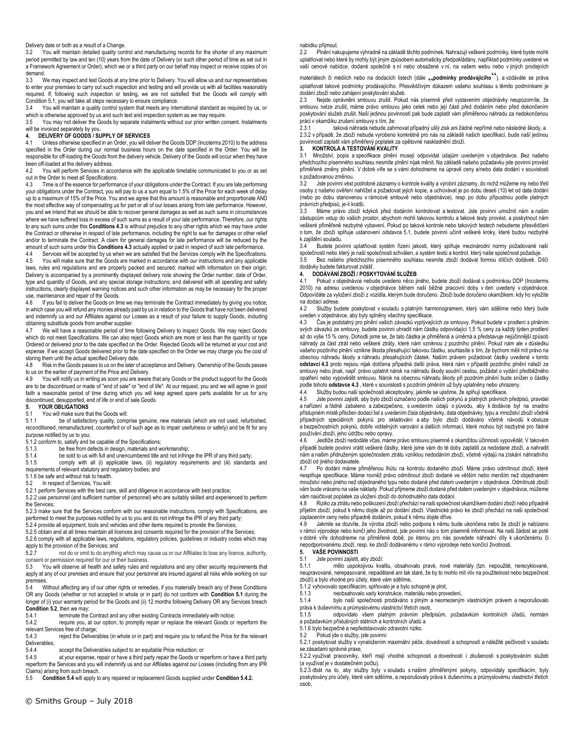### Delivery date or both as a result of a Change.

3.2 You will maintain detailed quality control and manufacturing records for the shorter of any maximum period permitted by law and ten (10) years from the date of Delivery (or such other period of time as set out in a Framework Agreement or Order), which we or a third party on our behalf may inspect or receive copies of on demand.

3.3 We may inspect and test Goods at any time prior to Delivery. You will allow us and our representatives to enter your premises to carry out such inspection and testing and will provide us with all facilities reasonably required. If, following such inspection or testing, we are not satisfied that the Goods will comply with Condition 5.1, you will take all steps necessary to ensure compliance.

You will maintain a quality control system that meets any international standard as required by us, or which is otherwise approved by us and such test and inspection system as we may require.

3.5 You may not deliver the Goods by separate instalments without our prior written consent. Instalments

## will be invoiced separately by you. **4. DELIVERY OF GOODS / SUPPLY OF SERVICES**

4.1 Unless otherwise specified in an Order, you will deliver the Goods DDP (Incoterms 2010) to the address specified in the Order during our normal business hours on the date specified in the Order. You will be responsible for off-loading the Goods from the delivery vehicle. Delivery of the Goods will occur when they have been off-loaded at the delivery address.<br>4.2 You will nerform Services in acc

You will perform Services in accordance with the applicable timetable communicated to you or as set out in the Order to meet all Specifications.<br>4.3 Time is of the essence for performa

Time is of the essence for performance of your obligations under the Contract. If you are late performing your obligations under the Contract, you will pay to us a sum equal to 1.5% of the Price for each week of delay up to a maximum of 15% of the Price. You and we agree that this amount is reasonable and proportionate AND the most effective way of compensating us for part or all of our losses arising from late performance. However, you and we intend that we should be able to recover general damages as well as such sums in circumstances where we have suffered loss in excess of such sums as a result of your late performance. Therefore, our rights to any such sums under this **Conditions 4.3** is without prejudice to any other rights which we may have under the Contract or otherwise in respect of late performance, including the right to sue for damages or other relief and/or to terminate the Contract. A claim for general damages for late performance will be reduced by the amount of such sums under this **Conditions 4.3** actually applied or paid in respect of such late performance.

4.4 Services will be accepted by us when we are satisfied that the Services comply with the Specifications. 4.5 You will make sure that the Goods are marked in accordance with our instructions and any applicable laws, rules and regulations and are properly packed and secured; marked with information on their origin; Delivery is accompanied by a prominently displayed delivery note showing the Order number, date of Order, type and quantity of Goods, and any special storage instructions; and delivered with all operating and safety instructions, clearly displayed warning notices and such other information as may be necessary for the proper

use, maintenance and repair of the Goods.<br>4.6 If you fail to deliver the Goods on tim If you fail to deliver the Goods on time we may terminate the Contract immediately by giving you notice, in which case you will refund any monies already paid by us in relation to the Goods that have not been delivered and indemnify us and our Affiliates against our Losses as a result of your failure to supply Goods, including obtaining substitute goods from another supplier.

4.7 We will have a reasonable period of time following Delivery to inspect Goods. We may reject Goods which do not meet Specifications. We can also reject Goods which are more or less than the quantity or type Ordered or delivered prior to the date specified on the Order. Rejected Goods will be returned at your cost and expense. If we accept Goods delivered prior to the date specified on the Order we may charge you the cost of storing them until the actual specified Delivery date.

4.8 Risk in the Goods passes to us on the later of acceptance and Delivery. Ownership of the Goods passes to us on the earlier of payment of the Price and Delivery.

4.9 You will notify us in writing as soon you are aware that any Goods or the product support for the Goods are to be discontinued or made of "end of sale" or "end of life". At our request, you and we will agree in good faith a reasonable period of time during which you will keep agreed spare parts available for us for any discontinued, desupported, end of life or end of sale Goods.

# **5. YOUR OBLIGATIONS**<br>5.1 You will make sure the

# 5.1 You will make sure that the Goods will:<br>5.1.1 be of satisfactory quality, comp

be of satisfactory quality, comprise genuine, new materials (which are not used, refurbished, reconditioned, remanufactured, counterfeit or of such age as to impair usefulness or safety) and be fit for any purpose notified by us to you;

5.1.2 conform to, satisfy and be capable of the Specifications;

5.1.3 be free from defects in design, materials and workmanship;

5.1.4 be sold to us with full and unencumbered title and not infringe the IPR of any third party;<br>5.1.5 comply with all (i) applicable laws. (ii) requlatory requirements and (iii) standard

comply with all (i) applicable laws, (ii) regulatory requirements and (iii) standards and requirements of relevant statutory and regulatory bodies; and

5.1.6 be safe and without risk to health.

5.2 In respect of Services, You will:

5.2.1 perform Services with the best care, skill and diligence in accordance with best practice; 5.2.2 use personnel (and sufficient number of personnel) who are suitably skilled and experienced to perform the Services;

5.2.3 make sure that the Services conform with our reasonable instructions, comply with Specifications, are performed to meet the purposes notified by us to you and do not infringe the IPR of any third party;

5.2.4 provide all equipment, tools and vehicles and other items required to provide the Services;

5.2.5 obtain and at all times maintain all licences and consents required for the provision of the Services;

5.2.6 comply with all applicable laws, regulations, regulatory policies, guidelines or industry codes which may apply to the provision of the Services; and

5.2.7 not do or omit to do anything which may cause us or our Affiliates to lose any licence, authority, consent or permission required for our or their business.

5.3 You will observe all health and safety rules and regulations and any other security requirements that apply at any of our premises and ensure that your personnel are insured against all risks while working on our premises.

5.4 Without affecting any of our other rights or remedies, if you materially breach any of these Conditions OR any Goods (whether or not accepted in whole or in part) do not conform with **Condition 5.1** during the longer of (i) your warranty period for the Goods and (ii) 12 months following Delivery OR any Services breach **Condition 5.2**, then we may:

5.4.1 terminate the Contract and any other existing Contracts immediately with notice;<br>5.4.2 require you, at our option, to promptly repair or replace the relevant Goods or

require you, at our option, to promptly repair or replace the relevant Goods or reperform the relevant Services free of charge;

5.4.3 reject the Deliverables (in whole or in part) and require you to refund the Price for the relevant Deliverables;<br>5 4 4

5.4.4 accept the Deliverables subject to an equitable Price reduction; or 5.4.5 at your expense, repair or have a third party repair the Goods or rep

at your expense, repair or have a third party repair the Goods or reperform or have a third party reperform the Services and you will indemnify us and our Affiliates against our Losses (including from any IPR Claims) arising from such breach.

5.5 **Condition 5.4** will apply to any repaired or replacement Goods supplied under **Condition 5.4.2.**

### nabídku přijmout.

2.2 Plnění nakupujeme výhradně na základě těchto podmínek. Nahrazují veškeré podmínky, které byste mohli uplatňovat nebo které by mohly být jiným způsobem automaticky předpokládány, například podmínky uvedené ve vaší cenové nabídce, dodané společně s ní nebo obsažené v ní, na vašem webu nebo v jiných prodejních

materiálech či médiích nebo na dodacích listech (dále <sub>22</sub>podmínky prodávajícího<sup>c)</sup>), a vzdáváte se práva uplatňovat takové podmínky prodávajícího. Přesvědčivým důkazem vašeho souhlasu s těmito podmínkami je dodání zboží nebo zahájení poskytování služeb.

2.3 Nejste oprávněni smlouvu zrušit. Pokud nás písemně před vystavením objednávky neupozomíte, že smlouvu nelze zrušit, máme právo smlouvu jako celek nebo její části před dodáním nebo před dokončením poskytování služeb zrušit. Naší jedinou povinností pak bude zaplatit vám přiměřenou náhradu za nedokončenou práci v okamžiku zrušení smlouvy s tím, že:<br>2.3.1 taková náhrada nebude zahr

taková náhrada nebude zahrnovat případný ušlý zisk ani žádné nepřímé nebo následné škody, a 2.3.2 v případě, že zboží nebude vyrobeno konkrétně pro nás na základě našich specifikací, bude naší jedinou povinností zaplatit vám přiměřený poplatek za opětovné naskladnění zboží.

### **3. KONTROLA A TESTOVÁNÍ KVALITY**

3.1 Množství, popis a specifikace plnění musejí odpovídat údajům uvedeným v objednávce. Bez našeho předchozího písemného souhlasu nesmíte plnění nijak měnit. Na základě našeho požadavku jste povinni provést přiměřené změny plnění. V dobré víře se s vámi dohodneme na úpravě ceny a/nebo data dodání v souvislosti s požadovanou změnou.

3.2 Jste povinni vést podrobné záznamy o kontrole kvality a výrobní záznamy, do nichž můžeme my nebo třetí osoby z našeho ověření nahlížet a požadovat jejich kopie, a uchovávat je po dobu deseti (10) let od data dodání (nebo po dobu stanovenou v rámcové smlouvě nebo objednávce), resp. po dobu přípustnou podle platných právních předpisů, je-li kratší.

3.3 Máme právo zboží kdykoli před dodáním kontrolovat a testovat. Jste povinni umožnit nám a našim zástupcům vstup do vašich prostor, abychom mohli takovou kontrolu a takové testy provést, a poskytnout nám veškeré přiměřeně nezbytné vybavení. Pokud po takové kontrole nebo takových testech nebudeme přesvědčeni o tom, že zboží splňuje ustanovení odstavce 5.1, budete povinni učinit veškeré kroky, které budou nezbytné k zajištění souladu.<br>3.4 Budete pov

Budete povinni uplatňovat systém řízení jakosti, který splňuje mezinárodní normy požadované naší společností nebo který je naší společnosti schválen, a systém testů a kontrol, který naše společnost požaduje.

3.5 Bez našeho předchozího písemného souhlasu nesmíte zboží dodávat formou dílčích dodávek. Dílčí dodávky budete fakturovat zvlášť.

# **4. DODÁVÁNÍ ZBOŽÍ / POSKYTOVÁNÍ SLUŽEB**

4.1 Pokud v objednávce nebude uvedeno něco jiného, budete zboží dodávat s podmínkou DDP (Incoterms 2010) na adresu uvedenou v objednávce během naší běžné pracovní doby v den uvedený v objednávce. Odpovídáte za vyložení zboží z vozidla, kterým bude doručeno. Zboží bude doručeno okamžikem, kdy ho vyložíte na dodací adrese.

4.2 Služby budete poskytovat v souladu s platným harmonogramem, který vám sdělíme nebo který bude uveden v objednávce, aby byly splněny všechny specifikace.

4.3 Čas je podstatný pro plnění vašich závazků vyplývajících ze smlouvy. Pokud budete v prodlení s plněním svých závazků ze smlouvy, budete povinni uhradit nám částku odpovídající 1,5 % ceny za každý týden prodlení až do výše 15 % ceny. Dohodli jsme se, že tato částka je přiměřená a úměrná a představuje nejúčinnější způsob náhrady za část ztrát nebo veškeré ztráty, které nám vzniknou z pozdního plnění. Pokud nám ale v důsledku vašeho pozdního plnění vznikne škoda přesahující takovou částku, souhlasíte s tím, že bychom měli mít právo na obecnou náhradu škody a náhradu přesahujících částek. Naším právem požadovat částky uvedené v tomto **odstavci 4.3** proto nejsou nijak dotčena případná další práva, která nám v případě pozdního plnění náleží ze smlouvy nebo jinak, např. právo uplatnit nárok na náhradu škody soudní cestou, požádat o vydání předběžného opatření nebo vypovědět smlouvu. Nárok na obecnou náhradu škody při pozdním plnění bude snížen o částky podle tohoto **odstavce 4.3** , které v souvislosti s pozdním plněním už byly uplatněny nebo uhrazeny.

4.4 Služby budou naší společností akceptovány, jakmile se ujistíme, že splňují specifikace.<br>4.5 Jste povinni zajistit, aby bylo zboží označeno podle našich pokynů a platných právních 4.5 Jste povinni zajistit, aby bylo zboží označeno podle našich pokynů a platných právních předpisů, pravidel a nařízení a řádně zabaleno a zabezpečeno, s uvedením údajů o původu, aby k dodávce byl na snadno přístupném místě přiložen dodací list s uvedením čísla objednávky, data objednávky, typu a množství zboží včetně případných speciálních pokynů pro skladování a aby bylo zboží dodáváno včetně návodů k obsluze a bezpečnostních pokynů, dobře viditelných varování a dalších informací, které mohou být nezbytné pro řádné používání zboží, jeho údržbu nebo opravy.

4.6 Jestliže zboží nedodáte včas, máme právo smlouvu písemně s okamžitou účinností vypovědět. V takovém případě budete povinni vrátit veškeré částky, které jsme vám do té doby zaplatili za nedodané zboží, a nahradit nám a našim přidruženým společnostem ztrátu vzniklou nedodáním zboží, včetně výdajů na získání náhradního zboží od jiného dodavatele.

4.7 Po dodání máme přiměřenou lhůtu na kontrolu dodaného zboží. Máme právo odmítnout zboží, které nesplňuje specifikace. Máme rovněž právo odmítnout zboží dodané ve větším nebo menším než objednaném množství nebo jiného než objednaného typu nebo dodané před datem uvedeným v objednávce. Odmítnuté zboží vám bude vráceno na vaše náklady. Pokud přijmeme zboží dodané před datem uvedeným v objednávce, můžeme vám naúčtovat poplatek za uložení zboží do dohodnutého data dodání.

4.8 Riziko za ztrátu nebo poškození zboží přechází na naši společnost okamžikem dodání zboží nebo případně přijetím zboží, pokud k němu dojde až po dodání zboží. Vlastnické právo ke zboží přechází na naši společnost zaplacením ceny nebo případně dodáním, pokud k němu dojde dříve.

Jakmile se dozvíte, že výroba zboží nebo podpora k němu bude ukončena nebo že zboží je nabízeno v rámci výprodeje nebo končí jeho životnost, jste povinni nás o tom písemně informovat. Na naši žádost se poté v dobré víře dohodneme na přiměřené době, po kterou pro nás povedete náhradní díly k ukončenému či nepodporovanému zboží, resp. ke zboží dodávanému v rámci výprodeje nebo končící životnosti.

# **5. VAŠE POVINNOSTI**

5.1 Jste povinni zajistit, aby zboží:<br>5.1.1 mělo uspokojivou kva

5.1.1 mělo uspokojivou kvalitu, obsahovalo pravé, nové materiály (tzn. nepoužité, nerecyklované, neupravované, nerepasované, nepadělané ani tak staré, že by to mohlo mít vliv na použitelnost nebo bezpečnost zboží) a bylo vhodné pro účely, které vám sdělíme,

5.1.2 vyhovovalo specifikacím, splňovalo je a bylo schopné je plnit, 5.1.3 neobsahovalo vady konstrukce, materiálu nebo provedení,

5.1.4 bylo naší společnosti prodáváno s plným a neomezeným vlastnickým právem a neporušovalo práva k duševnímu a průmyslovému vlastnictví třetích osob,

5.1.5 odpovídalo všem platným právním předpisům, požadavkům kontrolních úřadů, normám a požadavkům příslušných státních a kontrolních úřadů a

5.1.6 bylo bezpečné a nepředstavovalo zdravotní riziko.

5.2 Pokud jde o služby, jste povinni:

5.2.1 poskytovat služby s vynaložením maximální péče, dovedností a schopností a náležité pečlivosti v souladu se zásadami správné praxe,

5.2.2 využívat pracovníky, kteří mají vhodné schopnosti a dovednosti i zkušenosti s poskytováním služeb (a využívat je v dostatečném počtu),

5.2.3 dbát na to, aby služby byly v souladu s našimi přiměřenými pokyny, odpovídaly specifikacím, byly poskytovány pro účely, které vám sdělíme, a neporušovaly práva k duševnímu a průmyslovému vlastnictví třetích osob,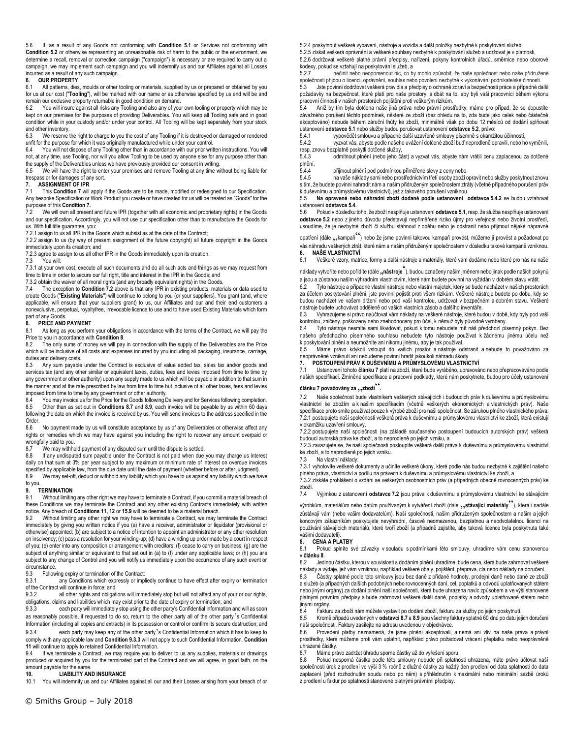5.6 If, as a result of any Goods not conforming with **Condition 5.1** or Services not conforming with **Condition 5.2** or otherwise representing an unreasonable risk of harm to the public or the environment, we determine a recall, removal or correction campaign ("campaign") is necessary or are required to carry out a campaign, we may implement such campaign and you will indemnify us and our Affiliates against all Losses incurred as a result of any such campaign.

### **6. OUR PROPERTY**

6.1 All patterns, dies, moulds or other tooling or materials, supplied by us or prepared or obtained by you for us at our cost ("**Tooling**"), will be marked with our name or as otherwise specified by us and will be and remain our exclusive property returnable in good condition on demand.

You will insure against all risks any Tooling and also any of your own tooling or property which may be kept on our premises for the purposes of providing Deliverables. You will keep all Tooling safe and in good condition while in your custody and/or under your control. All Tooling will be kept separately from your stock

and other inventory. 6.3 We reserve the right to charge to you the cost of any Tooling if it is destroyed or damaged or rendered unfit for the purpose for which it was originally manufactured while under your control.

6.4 You will not dispose of any Tooling other than in accordance with our prior written instructions. You will not, at any time, use Tooling, nor will you allow Tooling to be used by anyone else for any purpose other than the supply of the Deliverables unless we have previously provided our consent in writing.

6.5 We will have the right to enter your premises and remove Tooling at any time without being liable for trespass or for damages of any sort.

#### **7. ASSIGNMENT OF IPR**

7.1 This **Condition 7** will apply if the Goods are to be made, modified or redesigned to our Specification. Any bespoke Specification or Work Product you create or have created for us will be treated as "Goods" for the purposes of this **Condition 7.**

7.2 We will own all present and future IPR (together with all economic and proprietary rights) in the Goods and our specification. Accordingly, you will not use our specification other than to manufacture the Goods for us. With full title guarantee, you:

7.2.1 assign to us all IPR in the Goods which subsist as at the date of the Contract;

7.2.2 assign to us (by way of present assignment of the future copyright) all future copyright in the Goods immediately upon its creation; and

7.2.3 agree to assign to us all other IPR in the Goods immediately upon its creation.<br>7.3 You will:

You will:

7.3.1 at your own cost, execute all such documents and do all such acts and things as we may request from time to time in order to secure our full right, title and interest in the IPR in the Goods; and

7.3.2 obtain the waiver of all moral rights (and any broadly equivalent rights) in the Goods.

7.4 The exception to **Condition 7.2** above is that any IPR in existing products, materials or data used to create Goods ("**Existing Materials**") will continue to belong to you (or your suppliers). You grant (and, where applicable, will ensure that your suppliers grant) to us, our Affiliates and our and their end customers a nonexclusive, perpetual, royaltyfree, irrevocable licence to use and to have used Existing Materials which form part of any Goods.

#### **8. PRICE AND PAYMENT**

8.1 As long as you perform your obligations in accordance with the terms of the Contract, we will pay the Price to you in accordance with **Condition 8**.

The only sums of money we will pay in connection with the supply of the Deliverables are the Price which will be inclusive of all costs and expenses incurred by you including all packaging, insurance, carriage, duties and delivery costs.

8.3 Any sum payable under the Contract is exclusive of value added tax, sales tax and/or goods and services tax (and any other similar or equivalent taxes, duties, fees and levies imposed from time to time by any government or other authority) upon any supply made to us which will be payable in addition to that sum in the manner and at the rate prescribed by law from time to time but inclusive of all other taxes, fees and levies

imposed from time to time by any government or other authority.<br>8.4 You may invoice us for the Price for the Goods following Delivery and for Services following completion. 8.5 Other than as set out in **Conditions 8.7** and **8.9**, each invoice will be payable by us within 60 days following the date on which the invoice is received by us. You will send invoices to the address specified in the Order.

8.6 No payment made by us will constitute acceptance by us of any Deliverables or otherwise affect any rights or remedies which we may have against you including the right to recover any amount overpaid or wrongfully paid to you.

8.7 We may withhold payment of any disputed sum until the dispute is settled.

8.8 If any undisputed sum payable under the Contract is not paid when due you may charge us interest daily on that sum at 3% per year subject to any maximum or minimum rate of interest on overdue invoices specified by applicable law, from the due date until the date of payment (whether before or after judgment).<br>8.9 We may set-off deduct or withhold any liability which you have to us against any liability which we be

We may set-off, deduct or withhold any liability which you have to us against any liability which we have to you.

# **9.1 TERMINATION**<br>9.1 Without limitin

Without limiting any other right we may have to terminate a Contract, if you commit a material breach of these Conditions we may terminate the Contract and any other existing Contracts immediately with written notice. Any breach of **Conditions 11, 12** or **15.9** will be deemed to be a material breach.

9.2 Without limiting any other right we may have to terminate a Contract, we may terminate the Contract immediately by giving you written notice if you (a) have a receiver, administrator or liquidator (provisional or otherwise) appointed; (b) are subject to a notice of intention to appoint an administrator or any other resolution on insolvency; (c) pass a resolution for your winding-up; (d) have a winding up order made by a court in respect of you; (e) enter into any composition or arrangement with creditors; (f) cease to carry on business; (g) are the subject of anything similar or equivalent to that set out in (a) to (f) under any applicable laws; or (h) you are subject to any change of Control and you will notify us immediately upon the occurrence of any such event or circumstance.

9.3 Following expiry or termination of the Contract:<br>9.3.1 any Conditions which expressly or implement

any Conditions which expressly or impliedly continue to have effect after expiry or termination of the Contract will continue in force; and<br>9.3.2 all other rights and obligat

all other rights and obligations will immediately stop but will not affect any of your or our rights, obligations, claims and liabilities which may exist prior to the date of expiry or termination; and

9.3.3 each party will immediately stop using the other party's Confidential Information and will as soon as reasonably possible, if requested to do so, return to the other party all of the other party's Confidential Information (including all copies and extracts) in its possession or control or confirm its secure destruction; and 9.3.4 each party may keep any of the other party's Confidential Information which it has to keep to comply with any applicable law and **Condition 9.3.3** will not apply to such Confidential Information. **Condition 11** will continue to apply to retained Confidential Information.

9.4 If we terminate a Contract, we may require you to deliver to us any supplies, materials or drawings produced or acquired by you for the terminated part of the Contract and we will agree, in good faith, on the amount payable for the same.<br>10. LIABILITY AN

# **10. LIABILITY AND INSURANCE**<br>10.1 You will indemnify us and our Affiliates

You will indemnify us and our Affiliates against all our and their Losses arising from your breach of or

5.2.4 poskytnout veškeré vybavení, nástroje a vozidla a další položky nezbytné k poskytování služeb,

5.2.5 získat veškerá oprávnění a veškeré souhlasy nezbytné k poskytování služeb a udržovat je v platnosti, 5.2.6 dodržovat veškeré platné právní předpisy, nařízení, pokyny kontrolních úřadů, směrnice nebo oborové kodexy, pokud se vztahují na poskytování služeb, a

5.2.7 nečinit nebo neopomenout nic, co by mohlo způsobit, že naše společnost nebo naše přidružené společnosti přijdou o licenci, oprávnění, souhlas nebo povolení nezbytné k vykonávání podnikatelské činnosti.

5.3 Jste povinni dodržovat veškerá pravidla a předpisy o ochraně zdraví a bezpečnosti práce a případné další požadavky na bezpečnost, které platí pro naše prostory, a dbát na to, aby byli vaši pracovníci během výkonu pracovní činnosti v našich prostorách pojištěni proti veškerým rizikům.

Aniž by tím byla dotčena naše jiná práva nebo právní prostředky, máme pro případ, že se dopustíte závažného porušení těchto podmínek, některé ze zboží (bez ohledu na to, zda bude jako celek nebo částečně akceptováno) nebude během záruční lhůty ke zboží, minimálně však po dobu 12 měsíců od dodání splňovat ustanovení **odstavce 5.1** nebo služby budou porušovat ustanovení **odstavce 5.2**, právo: 5.4.1 vypovědět smlouvu a případné další uzavřené smlouvy písemně s okamžitou účinností,

5.4.2 vyzvat vás, abyste podle našeho uvážení dotčené zboží buď neprodleně opravili, nebo ho vyměnili, resp. znovu bezplatně poskytli dotčené služby,

5.4.3 odmítnout plnění (nebo jeho část) a vyzvat vás, abyste nám vrátili cenu zaplacenou za dotčené plnění,<br>5.4.4

5.4.4 přijmout plnění pod podmínkou přiměřené slevy z ceny nebo

na vaše náklady sami nebo prostřednictvím třetí osoby zboží opravit nebo služby poskytnout znovu s tím, že budete povinni nahradit nám a našim přidruženým společnostem ztráty (včetně případného porušení práv k duševnímu a průmyslovému vlastnictví), jež z takového porušení vzniknou.

5.5 **Na opravené nebo náhradní zboží dodané podle ustanovení odstavce 5.4.2** se budou vztahovat ustanovení **odstavce 5.4.**

5.6 Pokud v důsledku toho, že zboží nesplňuje ustanovení **odstavce 5.1**, resp. že služba nesplňuje ustanovení **odstavce 5.2** nebo z jiného důvodu představují nepřiměřené riziko újmy pro veřejnost nebo životní prostředí, usoudíme, že je nezbytné zboží či službu stáhnout z oběhu nebo je odstranit nebo přijmout nějaké nápravné

opatření (dále ,, kampaň ) nebo že jsme povinni takovou kampaň provést, můžeme ji provést a požadovat po vás náhradu veškerých ztrát, které nám a našim přidruženým společnostem v důsledku takové kampaně vzniknou.

**6. NAŠE VLASTNICTVÍ** 6.1 Veškeré vzory, matrice, formy a další nástroje a materiály, které vám dodáme nebo které pro nás na naše

náklady vytvoříte nebo pořídíte (dále "nástroje<sup>"</sup>), budou označeny naším jménem nebo jinak podle našich pokynů a jsou a zůstanou naším výhradním vlastnictvím, které nám budete povinni na vyžádán v dobrém stavu vrátit.

6.2 Tyto nástroje a případné vlastní nástroje nebo vlastní majetek, který se bude nacházet v našich prostorách za účelem poskytování plnění, jste povinni pojistit proti všem rizikům. Veškeré nástroje budete po dobu, kdy se budou nacházet ve vašem držení nebo pod vaší kontrolou, udržovat v bezpečném a dobrém stavu. Veškeré nástroje budete uchovávat odděleně od vašich vlastních zásob a dalšího inventáře.

6.3 Vyhrazujeme si právo naúčtovat vám náklady na veškeré nástroje, které budou v době, kdy byly pod vaší kontrolou, zničeny, poškozeny nebo znehodnoceny pro účel, k němuž byly původně vyrobeny.

6.4 Tyto nástroje nesmíte sami likvidovat, pokud k tomu nebudete mít náš předchozí písemný pokyn. Bez našeho předchozího písemného souhlasu nebudete tyto nástroje používat k žádnému jinému účelu než k poskytování plnění a neumožníte ani nikomu jinému, aby je tak používal.

6.5 Máme právo kdykoli vstoupit do vašich prostor a nástroje odstranit a nebude to považováno za neoprávněné vzniknutí ani nebudeme povinni hradit jakoukoli náhradu škody.

# **7. POSTOUPENÍ PRÁV K DUŠEVNÍMU A PRŮMYSLOVÉMU VLASTNICTVÍ**

7.1 Ustanovení tohoto **článku 7** platí na zboží, které bude vyráběno, upravováno nebo přepracováváno podle našich specifikací. Zmíněné specifikace a pracovní podklady, které nám poskytnete, budou pro účely ustanovení

## **článku 7 považovány za** "**zboží**"**.**

7.2 Naše společnost bude vlastníkem veškerých stávajících i budoucích práv k duševnímu a průmyslovému vlastnictví ke zbožím a k našim specifikacím (včetně veškerých ekonomických a vlastnických práv). Naše specifikace proto smíte používat pouze k výrobě zboží pro naši společnost. Se zárukou plného vlastnického práva: 7.2.1 postupujete naší společnosti veškerá práva k duševnímu a průmyslovému vlastnictví ke zboží, která existují v okamžiku uzavření smlouvy,

7.2.2 postupujete naší společnosti (na základě současného postoupení budoucích autorských práv) veškerá budoucí autorská práva ke zboží, a to neprodleně po jejich vzniku, a

7.2.3 zavazujete se, že naší společnosti postoupíte veškerá další práva k duševnímu a průmyslovému vlastnictví ke zboží, a to neprodleně po jejich vzniku.

7.3.1 vyhotovíte veškeré dokumenty a učiníte veškeré úkony, které podle nás budou nezbytné k zajištění našeho plného práva, vlastnictví a podílu na právech k duševnímu a průmyslovému vlastnictví ke zboží, a

7.3.2 získáte prohlášení o vzdání se veškerých osobnostních práv (a případných obecně rovnocenných práv) ke zboží.

zůstávají vám (nebo vašim dodavatelům). Naší společnosti, našim přidruženým společnostem a našim a jejich koncovým zákazníkům poskytujete nevýhradní, časově neomezenou, bezplatnou a neodvolatelnou licenci na používání stávajících materiálů, které tvoří zboží (a případně zajistíte, aby taková licence byla poskytnuta také vašimi dodavateli).

v **článku 8**.

8.2 Jedinou částku, kterou v souvislosti s dodáním plnění uhradíme, bude cena, která bude zahrnovat veškeré náklady a výdaje, jež vám vzniknou, například veškeré obaly, pojištění, přeprava, cla nebo náklady na doručení. 8.3 Částky splatné podle této smlouvy jsou bez daně z přidané hodnoty, prodejní daně nebo daně ze zboží a služeb (a případných dalších podobných nebo rovnocenných daní, cel, poplatků a odvodů uplatňovaných státem nebo jinými orgány) za dodání plnění naší společnosti, která bude uhrazena navíc způsobem a ve výši stanovené platnými právními předpisy a bude zahrnovat veškeré další daně, poplatky a odvody uplatňované státem nebo

jinými orgány. 8.4 Fakturu za zboží nám můžete vystavit po dodání zboží, fakturu za služby po jejich poskytnutí.

8.5 Kromě případů uvedených v **odstavci 8.7** a **8.9** jsou všechny faktury splatné 60 dnů po datu jejich doručení naší společnosti. Faktury zasílejte na adresu uvedenou v objednávce.

8.6 Provedení platby neznamená, že jsme plnění akceptovali, a nemá ani vliv na naše práva a právní prostředky, které můžeme proti vám uplatnit, například právo požadovat vrácení přeplatku nebo neoprávněně uhrazené částky.<br>8.7 Máme pr.

8.7 Máme právo zadržet úhradu sporné částky až do vyřešení sporu.<br>8.8 – Pokud nesporná částka podle této smlouvy nebude při splatno

8.8 Pokud nesporná částka podle této smlouvy nebude při splatnosti uhrazena, máte právo účtovat naší společnosti úrok z prodlení ve výši 3 % ročně z dlužné částky za každý den prodlení od data splatnosti do data zaplacení (před rozhodnutím soudu nebo po něm) s přihlédnutím k maximální nebo minimální sazbě úroků z prodlení u faktur po splatnosti stanovené platnými právními předpisy.

7.3 Na vlastní náklady:

7.4 Výjimkou z ustanovení **odstavce 7.2** jsou práva k duševnímu a průmyslovému vlastnictví ke stávajícím

výrobkům, materiálům nebo datům používaným k vytváření zboží (dále **,,stávající materiály**<sup>cc</sup>), která i nadále

8. **CENA A PLATBY**<br>8.1 Pokud splnite s Pokud splníte své závazky v souladu s podmínkami této smlouvy, uhradíme vám cenu stanovenou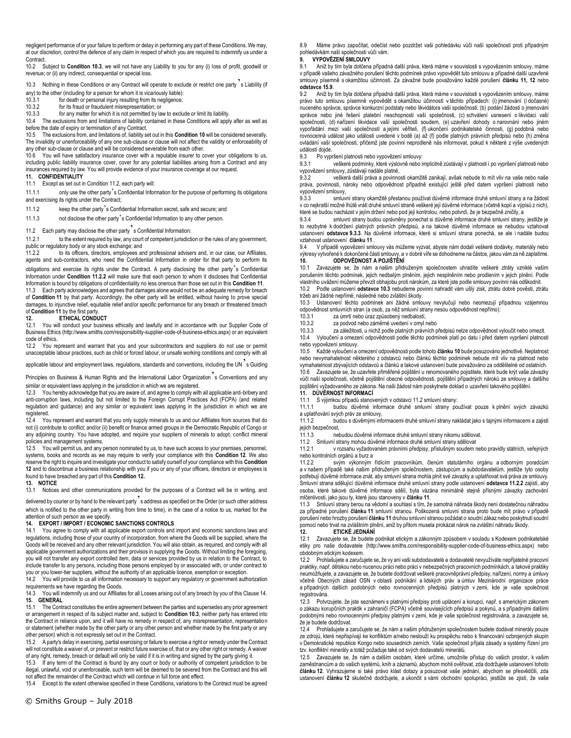negligent performance of or your failure to perform or delay in performing any part of these Conditions. We may, at our discretion, control the defence of any claim in respect of which you are required to indemnify us under a Contract.

10.2 Subject to **Condition 10.3**, we will not have any Liability to you for any (i) loss of profit, goodwill or revenue; or (ii) any indirect, consequential or special loss.

10.3 Nothing in these Conditions or any Contract will operate to exclude or restrict one party s Liability (if

any) to the other (including for a person for whom it is vicariously liable):

10.3.1 for death or personal injury resulting from its negligence;

10.3.2 for its fraud or fraudulent misrepresentation; or

10.3.3 for any matter for which it is not permitted by law to exclude or limit its liability. 10.4 The exclusions from and limitations of liability contained in these Conditions will apply after as well as

before the date of expiry or termination of any Contract.

10.5 The exclusions from, and limitations of, liability set out in this **Condition 10** will be considered severally. The invalidity or unenforceability of any one sub-clause or clause will not affect the validity or enforceability of any other sub-clause or clause and will be considered severable from each other.

10.6 You will have satisfactory insurance cover with a reputable insurer to cover your obligations to us, including public liability insurance cover, cover for any potential liabilities arising from a Contract and any insurances required by law. You will provide evidence of your insurance coverage at our request.

### **11. CONFIDENTIALITY**

11.1 Except as set out in Condition 11.2, each party will:

11.1.1 only use the other party's Confidential Information for the purpose of performing its obligations and exercising its rights under the Contract;

11.1.2 keep the other party's Confidential Information secret, safe and secure; and

11.1.3 not disclose the other party's Confidential Information to any other person.

# 11.2 Each party may disclose the other party's Confidential Information:<br>11.2.1 to the extent required by law any court of competent jurisdiction

to the extent required by law, any court of competent jurisdiction or the rules of any government, public or regulatory body or any stock exchange; and

11.2.2 to its officers, directors, employees and professional advisers and, in our case, our Affiliates, agents and sub-contractors, who need the Confidential Information in order for that party to perform its obligations and exercise its rights under the Contract. A party disclosing the other party's Confidential

Information under **Condition 11.2.2** will make sure that each person to whom it discloses that Confidential Information is bound by obligations of confidentiality no less onerous than those set out in this **Condition 11**. Each party acknowledges and agrees that damages alone would not be an adequate remedy for breach

of **Condition 11** by that party. Accordingly, the other party will be entitled, without having to prove special damages, to injunctive relief, equitable relief and/or specific performance for any breach or threatened breach of **Condition 11** by the first party.

### **12. ETHICAL CONDUCT**

12.1 You will conduct your business ethically and lawfully and in accordance with our Supplier Code of Business Ethics (http://www.smiths.com/responsibility-supplier-code-of-business-ethics.aspx) or an equivalent code of ethics.

12.2 You represent and warrant that you and your subcontractors and suppliers do not use or permit unacceptable labour practices, such as child or forced labour, or unsafe working conditions and comply with all

applicable labour and employment laws, regulations, standards and conventions, including the UN s Guiding

Principles on Business & Human Rights and the International Labor Organization<sup>7</sup>s Conventions and any similar or equivalent laws applying in the jurisdiction in which we are registered.

12.3 You hereby acknowledge that you are aware of, and agree to comply with all applicable anti-bribery and anti-corruption laws, including but not limited to the Foreign Corrupt Practices Act (FCPA) (and related regulation and guidance) and any similar or equivalent laws applying in the jurisdiction in which we are registered.

12.4 You represent and warrant that you only supply minerals to us and our Affiliates from sources that do not (i) contribute to conflict; and/or (ii) benefit or finance armed groups in the Democratic Republic of Congo or any adjoining country. You have adopted, and require your suppliers of minerals to adopt, conflict mineral policies and management systems.

12.5 You will permit us, and any person nominated by us, to have such access to your premises, personnel, systems, books and records as we may require to verify your compliance with this **Condition 12**. We also reserve the right to inquire and investigate your conduct to satisfy ourself of your compliance with this **Condition 12** and to discontinue a business relationship with you if you or any of your officers, directors or employees is found to have breached any part of this **Condition 12.** 

### **13. NOTICE**

13.1 Notices and other communications provided for the purposes of a Contract will be in writing, and

delivered by courier or by hand to the relevant party's address as specified on the Order (or such other address which is notified to the other party in writing from time to time), in the case of a notice to us, marked for the attention of such person as we specify.

#### **14. EXPORT / IMPORT / ECONOMIC SANCTIONS CONTROLS**

14.1 You agree to comply with all applicable export controls and import and economic sanctions laws and regulations, including those of your country of incorporation, from where the Goods will be supplied, where the Goods will be received and any other relevant jurisdiction. You will also obtain, as required, and comply with all applicable government authorizations and their provisos in supplying the Goods. Without limiting the foregoing, you will not transfer any export controlled item, data or services provided by us in relation to the Contract, to include transfer to any persons, including those persons employed by or associated with, or under contract to you or you lower-tier suppliers, without the authority of an applicable licence, exemption or exception.

14.2 You will provide to us all information necessary to support any regulatory or government authorization requirements we have regarding the Goods.

14.3 You will indemnify us and our Affiliates for all Losses arising out of any breach by you of this Clause 14. **15. GENERAL**

15.1 The Contract constitutes the entire agreement between the parties and supersedes any prior agreement or arrangement in respect of its subject matter and, subject to **Condition 10.3**, neither party has entered into the Contract in reliance upon, and it will have no remedy in respect of, any misrepresentation, representation or statement (whether made by the other party or any other person and whether made by the first party or any other person) which is not expressly set out in the Contract.<br>15.2 A party's delay in exercising, partial exercising or fail

15.2 A party's delay in exercising, partial exercising or failure to exercise a right or remedy under the Contract will not constitute a waiver of, or prevent or restrict future exercise of, that or any other right or remedy. A waiver of any right, remedy, breach or default will only be valid if it is in writing and signed by the party giving it.

15.3 If any term of the Contract is found by any court or body or authority of competent jurisdiction to be illegal, unlawful, void or unenforceable, such term will be deemed to be severed from the Contract and this will not affect the remainder of the Contract which will continue in full force and effect.

15.4 Except to the extent otherwise specified in these Conditions, variations to the Contract must be agreed

8.9 Máme právo započítat, odečíst nebo pozdržet vaši pohledávku vůči naší společnosti proti případným pohledávkám naší společnosti vůči vám.

### **9. VYPOVĚZENÍ SMLOUVY**

Aniž by tím byla dotčena případná další práva, která máme v souvislosti s vypovězením smlouvy, máme v případě vašeho závažného porušení těchto podmínek právo vypovědět tuto smlouvu a případné další uzavřené smlouvy písemně s okamžitou účinností. Za závažné bude považováno každé porušení **článku 11, 12** nebo **odstavce 15.9**.

9.2 Aniž by tím byla dotčena případná další práva, která máme v souvislosti s vypovězením smlouvy, máme právo tuto smlouvu písemně vypovědět s okamžitou účinností v těchto případech: (i) jmenování (i dočasné) nuceného správce, správce konkurzní podstaty nebo likvidátora vaší společnosti, (b) podání žádosti o jmenování správce nebo jiné řešení platební neschopnosti vaší společnosti, (c) schválení usnesení o likvidaci vaší společnosti, (d) nařízení likvidace vaší společnosti soudem, (e) uzavření dohody o narovnání nebo jiném vypořádání mezi vaší společností a jejími věřiteli, (f) ukončení podnikatelské činnosti, (g) podobná nebo<br>rovnocenná událost jako události uvedené v bodě (a) až (f) podle platných právních předpisů nebo (h) změna ovládání vaší společnosti, přičemž jste povinni neprodleně nás informovat, pokud k některé z výše uvedených událostí dojde.

9.3 Po vypršení platnosti nebo vypovězení smlouvy:

9.3.1 veškeré podmínky, které výslovně nebo implicitně zůstávají v platnosti i po vypršení platnosti nebo vypovězení smlouvy, zůstávají nadále platné,<br>9.3.2 veškerá další práva a novinno

veškerá další práva a povinnosti okamžitě zanikají, avšak nebude to mít vliv na vaše nebo naše práva, povinnosti, nároky nebo odpovědnost případně existující ještě před datem vypršení platnosti nebo vypovězení smlouvy,<br>933

smluvní strany okamžitě přestanou používat důvěrné informace druhé smluvní strany a na žádost v co nejkratší možné lhůtě vrátí druhé smluvní straně veškeré její důvěrné informace (včetně kopií a výpisů z nich), které se budou nacházet v jejím držení nebo pod její kontrolou, nebo potvrdí, že je bezpečně zničily, a<br>9.3.4 smluvní strany budou oprávněny ponechat si důvěrné informace druhé smluvní strany

smluvní strany budou oprávněny ponechat si důvěrné informace druhé smluvní strany, jestliže je to nezbytné k dodržení platných právních předpisů, a na takové důvěrné informace se nebudou vztahovat ustanovení **odstavce 9.3.3**. Na důvěrné informace, které si smluvní strana ponechá, se ale i nadále budou vztahovat ustanovení **článku 11** .

9.4 V případě vypovězení smlouvy vás můžeme vyzvat, abyste nám dodali veškeré dodávky, materiály nebo výkresy vytvořené k dokončené části smlouvy, a v dobré víře se dohodneme na částce, jakou vám za ně zaplatíme. **10. ODPOVĚDNOST A POJIŠTĚNÍ**

10.1 Zavazujete se, že nám a našim přidruženým společnostem uhradíte veškeré ztráty vzniklé vaším porušením těchto podmínek, jejich nedbalým plněním, jejich nesplněním nebo prodlením v jejich plnění. Podle vlastního uvážení můžeme převzít obhajobu proti nárokům, za které jste podle smlouvy povinni nás odškodnit. 10.2 Podle ustanovení **odstavce 10.3** nebudeme povinni nahradit vám ušlý zisk, ztrátu dobré pověsti, ztrátu

tržeb ani žádné nepřímé, následné nebo zvláštní škody. 10.3 Ustanovení těchto podmínek ani žádné smlouvy nevylučují nebo neomezují případnou vzájemnou

odpovědnost smluvních stran (a osob, za něž smluvní strany nesou odpovědnost nepřímo):

za úmrtí nebo úraz způsobený nedbalostí,

10.3.2 za podvod nebo záměrné uvedení v omyl nebo

10.3.3 za záležitosti, u nichž podle platných právních předpisů nelze odpovědnost vyloučit nebo omezit. 10.4 Vyloučení a omezení odpovědnosti podle těchto podmínek platí po datu i před datem vypršení platnosti nebo vypovězení smlouvy.

10.5 Každé vyloučení a omezení odpovědnosti podle tohoto **článku 10** bude posuzováno jednotlivě. Neplatnost nebo nevymahatelnost některého z odstavců nebo článků těchto podmínek nebude mít vliv na platnost nebo vymahatelnost zbývajících odstavců a článků a takové ustanovení bude považováno za oddělitelné od ostatních. 10.6 Zavazujete se, že uzavřete přiměřené pojištění u renomovaného pojistitele, které bude krýt vaše závazky vůči naší společnosti, včetně pojištění obecné odpovědnosti, pojištění případných nároků ze smlouvy a dalšího pojištění vyžadovaného ze zákona. Na naši žádost nám poskytnete doklad o uzavření takového pojištění. **11. DŮVĚRNOST INFORMACÍ**

11.1 S výjimkou případů stanovených v odstavci 11.2 smluvní strany:

11.1.1 budou důvěrné informace druhé smluvní strany používat pouze k plnění svých závazků a uplatňování svých práv ze smlouvy,<br>11.1.2 budou s důvěmými info

11.1.2 budou s důvěrnými informacemi druhé smluvní strany nakládat jako s tajnými informacemi a zajistí jejich bezpečnost,<br>11 1 3 ne

11.1.3 nebudou důvěrné informace druhé smluvní strany nikomu sdělovat.

11.2 Smluvní strany mohou důvěrné informace druhé smluvní strany sdělovat

11.2.1 v rozsahu vyžadovaném právními předpisy, příslušným soudem nebo pravidly státních, veřejných nebo kontrolních orgánů a burz a<br>11.2.2 svým výkonným

svým výkonným řídícím pracovníkům, členům statutárního orgánu a odborným poradcům a v našem případě také našim přidruženým společnostem, zástupcům a subdodavatelům, jestliže tyto osoby potřebují důvěrné informace znát, aby smluvní strana mohla plnit své závazky a uplatňovat svá práva ze smlouvy. Smluvní strana sdělující důvěrné informace druhé smluvní strany podle ustanovení **odstavce 11.2.2** zajistí, aby osoba, které takové důvěrné informace sdělí, byla vázána minimálně stejně přísnými závazky zachování mlčenlivosti, jako jsou ty, které jsou stanoveny v **článku 11**.

11.3 Smluvní strany berou na vědomí a souhlasí s tím, že samotná náhrada škody není dostatečnou náhradou za případné porušení **článku 11** smluvní stranou. Poškozená smluvní strana proto bude mít právo v případě porušení nebo hrozby porušení **článku 11** druhou smluvní stranou požádat o soudní zákaz nebo poskytnutí soudní pomoci nebo trvat na zvláštním plnění, aniž by přitom musela prokázat nárok na zvláštní náhradu škody.<br>12 FTICKÉ JEDNÁNÍ

### **12. ETICKÉ JEDNÁNÍ**

12.1 Zavazujete se, že budete podnikat etickým a zákonným způsobem v souladu s Kodexem podnikatelské etiky pro naše dodavatele (http://www.smiths.com/responsibility-supplier-code-of-business-ethics.aspx) nebo obdobným etickým kodexem.

12.2 Prohlašujete a zaručujete se, že vy ani vaši subdodavatelé a dodavatelé nevyužíváte nepřijatelné pracovní praktiky, např. dětskou nebo nucenou práci nebo práci v nebezpečných pracovních podmínkách, a takové praktiky neumožňujete, a zavazujete se, že budete dodržovat veškeré pracovněprávní předpisy, nařízení, normy a úmluvy včetně Obecných zásad OSN v oblasti podnikání a lidských práv a úmluv Mezinárodní organizace práce a případných dalších podobných nebo rovnocenných předpisů platných v zemi, kde je vaše společnost registrována.

12.3 Potvrzujete, že jste seznámeni s platnými předpisy proti uplácení a korupci, např. s americkým zákonem o zákazu korupčních praktik v zahraničí (FCPA) včetně souvisejících předpisů a pokynů, a s případnými dalšími podobnými nebo rovnocennými předpisy platnými v zemi, kde je vaše společnost registrována, a zavazujete se, že je budete dodržovat.

12.4 Prohlašujete a zaručujete se, že nám a našim přidruženým společnostem budete dodávat minerály pouze ze zdrojů, které nepřispívají ke konfliktům a/nebo neslouží ku prospěchu nebo k financování ozbrojených skupin v Demokratické republice Kongo nebo sousedních zemích. Vaše společnost přijala zásady a systémy řízení pro tzv. konfliktní minerály a totéž požaduje také od svých dodavatelů minerálů.

12.5 Zavazujete se, že nám a dalším osobám, které určíme, umožníte přístup do vašich prostor, k vašim zaměstnancům a do vašich systémů, knih a záznamů, abychom mohli ověřovat, zda dodržujete ustanovení tohoto **článku 12**. Vyhrazujeme si také právo klást dotazy a posuzovat vaše jednání, abychom se přesvědčili, zda ustanovení **článku 12** skutečně dodržujete, a ukončit s vámi obchodní spolupráci, jestliže se zjistí, že vaše